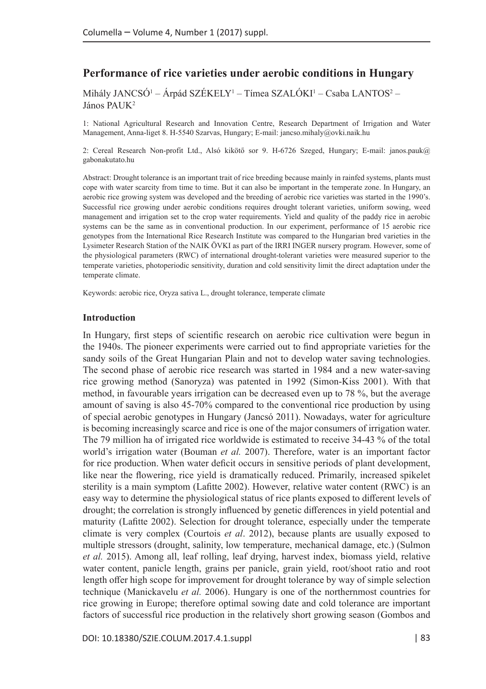# **Performance of rice varieties under aerobic conditions in Hungary**

Mihály JANCSÓ<sup>1</sup> – Árpád SZÉKELY<sup>1</sup> – Tímea SZALÓKI<sup>1</sup> – Csaba LANTOS<sup>2</sup> – János PAUK<sup>2</sup>

1: National Agricultural Research and Innovation Centre, Research Department of Irrigation and Water Management, Anna-liget 8. H-5540 Szarvas, Hungary; E-mail: [jancso.mihaly@ovki.naik.hu](mailto:jancso.mihaly@ovki.naik.hu)

2: Cereal Research Non-profit Ltd., Alsó kikötő sor 9. H-6726 Szeged, Hungary; E-mail: [janos.pauk@](mailto:janos.pauk@gabonakutato.hu) [gabonakutato.hu](mailto:janos.pauk@gabonakutato.hu)

Abstract: Drought tolerance is an important trait of rice breeding because mainly in rainfed systems, plants must cope with water scarcity from time to time. But it can also be important in the temperate zone. In Hungary, an aerobic rice growing system was developed and the breeding of aerobic rice varieties was started in the 1990's. Successful rice growing under aerobic conditions requires drought tolerant varieties, uniform sowing, weed management and irrigation set to the crop water requirements. Yield and quality of the paddy rice in aerobic systems can be the same as in conventional production. In our experiment, performance of 15 aerobic rice genotypes from the International Rice Research Institute was compared to the Hungarian bred varieties in the Lysimeter Research Station of the NAIK ÖVKI as part of the IRRI INGER nursery program. However, some of the physiological parameters (RWC) of international drought-tolerant varieties were measured superior to the temperate varieties, photoperiodic sensitivity, duration and cold sensitivity limit the direct adaptation under the temperate climate.

Keywords: aerobic rice, Oryza sativa L., drought tolerance, temperate climate

### **Introduction**

In Hungary, first steps of scientific research on aerobic rice cultivation were begun in the 1940s. The pioneer experiments were carried out to find appropriate varieties for the sandy soils of the Great Hungarian Plain and not to develop water saving technologies. The second phase of aerobic rice research was started in 1984 and a new water-saving rice growing method (Sanoryza) was patented in 1992 (Simon-Kiss 2001). With that method, in favourable years irrigation can be decreased even up to 78 %, but the average amount of saving is also 45-70% compared to the conventional rice production by using of special aerobic genotypes in Hungary (Jancsó 2011). Nowadays, water for agriculture is becoming increasingly scarce and rice is one of the major consumers of irrigation water. The 79 million ha of irrigated rice worldwide is estimated to receive 34-43 % of the total world's irrigation water (Bouman *et al.* 2007). Therefore, water is an important factor for rice production. When water deficit occurs in sensitive periods of plant development, like near the flowering, rice yield is dramatically reduced. Primarily, increased spikelet sterility is a main symptom (Lafitte 2002). However, relative water content (RWC) is an easy way to determine the physiological status of rice plants exposed to different levels of drought; the correlation is strongly influenced by genetic differences in yield potential and maturity (Lafitte 2002). Selection for drought tolerance, especially under the temperate climate is very complex (Courtois *et al*. 2012), because plants are usually exposed to multiple stressors (drought, salinity, low temperature, mechanical damage, etc.) (Sulmon *et al.* 2015). Among all, leaf rolling, leaf drying, harvest index, biomass yield, relative water content, panicle length, grains per panicle, grain yield, root/shoot ratio and root length offer high scope for improvement for drought tolerance by way of simple selection technique (Manickavelu *et al.* 2006). Hungary is one of the northernmost countries for rice growing in Europe; therefore optimal sowing date and cold tolerance are important factors of successful rice production in the relatively short growing season (Gombos and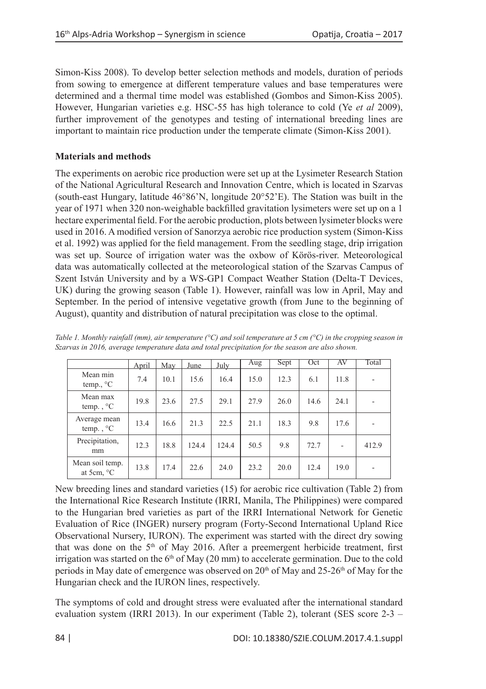Simon-Kiss 2008). To develop better selection methods and models, duration of periods from sowing to emergence at different temperature values and base temperatures were determined and a thermal time model was established (Gombos and Simon-Kiss 2005). However, Hungarian varieties e.g. HSC-55 has high tolerance to cold (Ye *et al* 2009), further improvement of the genotypes and testing of international breeding lines are important to maintain rice production under the temperate climate (Simon-Kiss 2001).

## **Materials and methods**

The experiments on aerobic rice production were set up at the Lysimeter Research Station of the National Agricultural Research and Innovation Centre, which is located in Szarvas (south-east Hungary, latitude 46°86'N, longitude 20°52'E). The Station was built in the year of 1971 when 320 non-weighable backfilled gravitation lysimeters were set up on a 1 hectare experimental field. For the aerobic production, plots between lysimeter blocks were used in 2016. A modified version of Sanorzya aerobic rice production system (Simon-Kiss et al. 1992) was applied for the field management. From the seedling stage, drip irrigation was set up. Source of irrigation water was the oxbow of Körös-river. Meteorological data was automatically collected at the meteorological station of the Szarvas Campus of Szent István University and by a WS-GP1 Compact Weather Station (Delta-T Devices, UK) during the growing season (Table 1). However, rainfall was low in April, May and September. In the period of intensive vegetative growth (from June to the beginning of August), quantity and distribution of natural precipitation was close to the optimal.

|                                            | April | May  | June  | July  | Aug  | Sept | Oct  | AV   | Total |
|--------------------------------------------|-------|------|-------|-------|------|------|------|------|-------|
| Mean min<br>temp., °C                      | 7.4   | 10.1 | 15.6  | 16.4  | 15.0 | 12.3 | 6.1  | 11.8 | ٠     |
| Mean max<br>temp., $\mathrm{C}$            | 19.8  | 23.6 | 27.5  | 29.1  | 27.9 | 26.0 | 14.6 | 24.1 | ۰     |
| Average mean<br>temp., $\mathrm{C}$        | 13.4  | 16.6 | 21.3  | 22.5  | 21.1 | 18.3 | 9.8  | 17.6 |       |
| Precipitation,<br>mm                       | 12.3  | 18.8 | 124.4 | 124.4 | 50.5 | 9.8  | 72.7 | ۰    | 412.9 |
| Mean soil temp.<br>at 5 $cm$ , $\degree$ C | 13.8  | 17.4 | 22.6  | 24.0  | 23.2 | 20.0 | 12.4 | 19.0 | ۰     |

*Table 1. Monthly rainfall (mm), air temperature (°C) and soil temperature at 5 cm (°C) in the cropping season in Szarvas in 2016, average temperature data and total precipitation for the season are also shown.*

New breeding lines and standard varieties (15) for aerobic rice cultivation (Table 2) from the International Rice Research Institute (IRRI, Manila, The Philippines) were compared to the Hungarian bred varieties as part of the IRRI International Network for Genetic Evaluation of Rice (INGER) nursery program (Forty-Second International Upland Rice Observational Nursery, IURON). The experiment was started with the direct dry sowing that was done on the 5<sup>th</sup> of May 2016. After a preemergent herbicide treatment, first irrigation was started on the  $6<sup>th</sup>$  of May (20 mm) to accelerate germination. Due to the cold periods in May date of emergence was observed on  $20<sup>th</sup>$  of May and  $25-26<sup>th</sup>$  of May for the Hungarian check and the IURON lines, respectively.

The symptoms of cold and drought stress were evaluated after the international standard evaluation system (IRRI 2013). In our experiment (Table 2), tolerant (SES score 2-3 –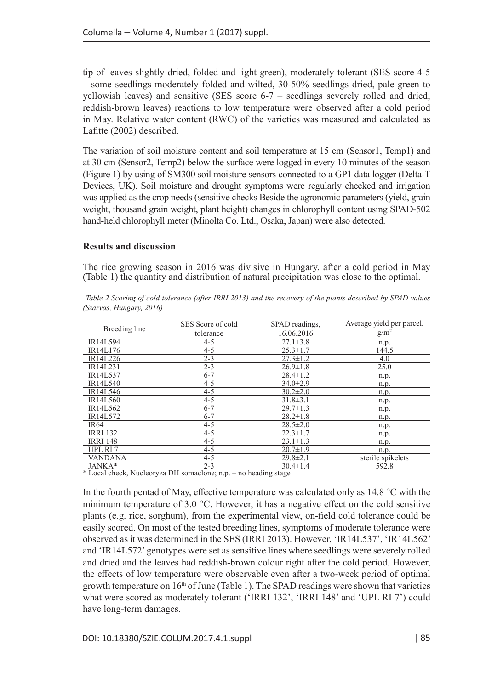tip of leaves slightly dried, folded and light green), moderately tolerant (SES score 4-5 – some seedlings moderately folded and wilted, 30-50% seedlings dried, pale green to yellowish leaves) and sensitive (SES score 6-7 – seedlings severely rolled and dried; reddish-brown leaves) reactions to low temperature were observed after a cold period in May. Relative water content (RWC) of the varieties was measured and calculated as Lafitte (2002) described.

The variation of soil moisture content and soil temperature at 15 cm (Sensor1, Temp1) and at 30 cm (Sensor2, Temp2) below the surface were logged in every 10 minutes of the season (Figure 1) by using of SM300 soil moisture sensors connected to a GP1 data logger (Delta-T Devices, UK). Soil moisture and drought symptoms were regularly checked and irrigation was applied as the crop needs (sensitive checks Beside the agronomic parameters (yield, grain weight, thousand grain weight, plant height) changes in chlorophyll content using SPAD-502 hand-held chlorophyll meter (Minolta Co. Ltd., Osaka, Japan) were also detected.

### **Results and discussion**

The rice growing season in 2016 was divisive in Hungary, after a cold period in May (Table 1) the quantity and distribution of natural precipitation was close to the optimal.

|                                                                 | SES Score of cold | SPAD readings, | Average yield per parcel, |  |  |  |
|-----------------------------------------------------------------|-------------------|----------------|---------------------------|--|--|--|
| Breeding line                                                   | tolerance         | 16.06.2016     | $g/m^2$                   |  |  |  |
| IR14L594                                                        | $4 - 5$           | $27.1 \pm 3.8$ | n.p.                      |  |  |  |
| IR14L176                                                        | $4 - 5$           | $25.3 \pm 1.7$ | 144.5                     |  |  |  |
| IR14L226                                                        | $2 - 3$           | $27.3 \pm 1.2$ | 4.0                       |  |  |  |
| IR14L231                                                        | $2 - 3$           | $26.9 \pm 1.8$ | 25.0                      |  |  |  |
| IR14L537                                                        | $6 - 7$           | $28.4 \pm 1.2$ | n.p.                      |  |  |  |
| IR14L540                                                        | $4 - 5$           | $34.0 \pm 2.9$ | n.p.                      |  |  |  |
| IR14L546                                                        | $4 - 5$           | $30.2 \pm 2.0$ | n.p.                      |  |  |  |
| IR14L560                                                        | $4 - 5$           | $31.8 \pm 3.1$ | n.p.                      |  |  |  |
| IR14L562                                                        | $6 - 7$           | $29.7 \pm 1.3$ | n.p.                      |  |  |  |
| IR14L572                                                        | $6 - 7$           | $28.2 \pm 1.8$ | n.p.                      |  |  |  |
| IR <sub>64</sub>                                                | $4 - 5$           | $28.5 \pm 2.0$ | n.p.                      |  |  |  |
| <b>IRRI 132</b>                                                 | $4 - 5$           | $22.3 \pm 1.7$ | n.p.                      |  |  |  |
| <b>IRRI 148</b>                                                 | $4 - 5$           | $23.1 \pm 1.3$ | n.p.                      |  |  |  |
| UPL RI <sub>7</sub>                                             | $4 - 5$           | $20.7 \pm 1.9$ | n.p.                      |  |  |  |
| <b>VANDANA</b>                                                  | $4 - 5$           | $29.8 \pm 2.1$ | sterile spikelets         |  |  |  |
| JANKA*                                                          | $2 - 3$           | $30.4 \pm 1.4$ | 592.8                     |  |  |  |
| * Local check, Nucleoryza DH somaclone; n.p. – no heading stage |                   |                |                           |  |  |  |

*Table 2 Scoring of cold tolerance (after IRRI 2013) and the recovery of the plants described by SPAD values (Szarvas, Hungary, 2016)*

In the fourth pentad of May, effective temperature was calculated only as 14.8 °C with the minimum temperature of 3.0 °C. However, it has a negative effect on the cold sensitive plants (e.g. rice, sorghum), from the experimental view, on-field cold tolerance could be easily scored. On most of the tested breeding lines, symptoms of moderate tolerance were observed as it was determined in the SES (IRRI 2013). However, 'IR14L537', 'IR14L562' and 'IR14L572' genotypes were set as sensitive lines where seedlings were severely rolled and dried and the leaves had reddish-brown colour right after the cold period. However, the effects of low temperature were observable even after a two-week period of optimal growth temperature on  $16<sup>th</sup>$  of June (Table 1). The SPAD readings were shown that varieties what were scored as moderately tolerant ('IRRI 132', 'IRRI 148' and 'UPL RI 7') could have long-term damages.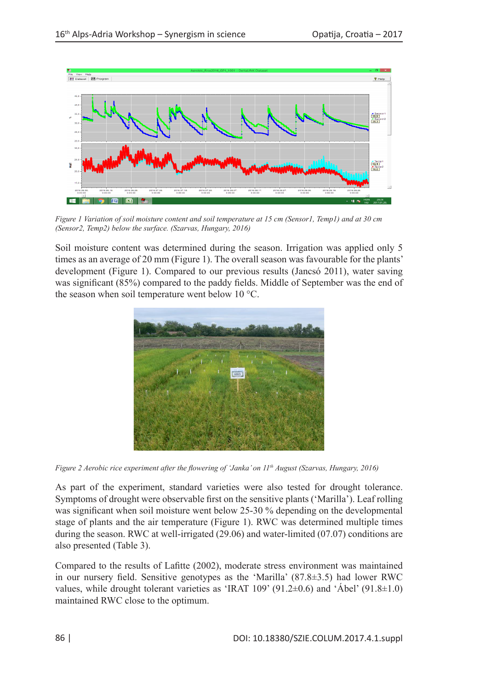

*Figure 1 Variation of soil moisture content and soil temperature at 15 cm (Sensor1, Temp1) and at 30 cm (Sensor2, Temp2) below the surface. (Szarvas, Hungary, 2016)* 

Soil moisture content was determined during the season. Irrigation was applied only 5 times as an average of 20 mm (Figure 1). The overall season was favourable for the plants' development (Figure 1). Compared to our previous results (Jancsó 2011), water saving was significant (85%) compared to the paddy fields. Middle of September was the end of the season when soil temperature went below 10 °C.



*Figure 2 Aerobic rice experiment after the flowering of 'Janka' on 11th August (Szarvas, Hungary, 2016)*

As part of the experiment, standard varieties were also tested for drought tolerance. Symptoms of drought were observable first on the sensitive plants ('Marilla'). Leaf rolling was significant when soil moisture went below 25-30 % depending on the developmental stage of plants and the air temperature (Figure 1). RWC was determined multiple times during the season. RWC at well-irrigated (29.06) and water-limited (07.07) conditions are also presented (Table 3).

Compared to the results of Lafitte (2002), moderate stress environment was maintained in our nursery field. Sensitive genotypes as the 'Marilla' (87.8±3.5) had lower RWC values, while drought tolerant varieties as 'IRAT 109' (91.2 $\pm$ 0.6) and 'Ábel' (91.8 $\pm$ 1.0) maintained RWC close to the optimum.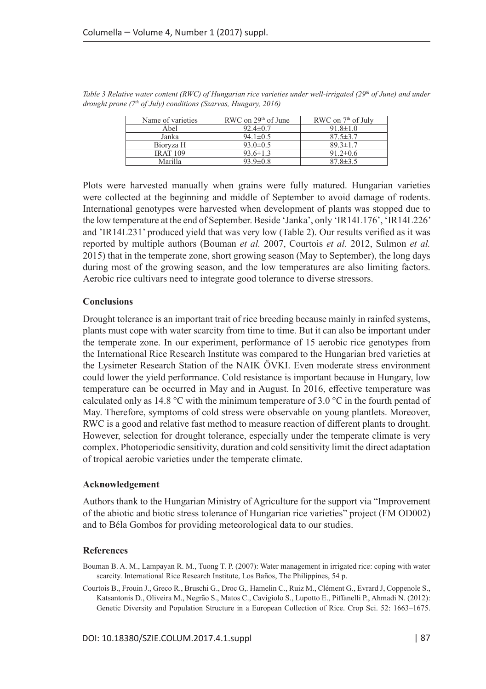| Name of varieties | RWC on $29th$ of June | RWC on $7th$ of July |
|-------------------|-----------------------|----------------------|
| Abel              | $92.4 \pm 0.7$        | $91.8 \pm 1.0$       |
| Janka             | $94.1 \pm 0.5$        | $87.5 \pm 3.7$       |
| Biorvza H         | $93.0 \pm 0.5$        | $89.3 \pm 1.7$       |
| <b>IRAT 109</b>   | $93.6 \pm 1.3$        | $91.2 \pm 0.6$       |
| Marilla           | $93.9 \pm 0.8$        | $87.8 \pm 3.5$       |

*Table 3 Relative water content (RWC) of Hungarian rice varieties under well-irrigated (29<sup>th</sup> of June) and under drought prone (7th of July) conditions (Szarvas, Hungary, 2016)*

Plots were harvested manually when grains were fully matured. Hungarian varieties were collected at the beginning and middle of September to avoid damage of rodents. International genotypes were harvested when development of plants was stopped due to the low temperature at the end of September. Beside 'Janka', only 'IR14L176', 'IR14L226' and 'IR14L231' produced yield that was very low (Table 2). Our results verified as it was reported by multiple authors (Bouman *et al.* 2007, Courtois *et al.* 2012, Sulmon *et al.* 2015) that in the temperate zone, short growing season (May to September), the long days during most of the growing season, and the low temperatures are also limiting factors. Aerobic rice cultivars need to integrate good tolerance to diverse stressors.

### **Conclusions**

Drought tolerance is an important trait of rice breeding because mainly in rainfed systems, plants must cope with water scarcity from time to time. But it can also be important under the temperate zone. In our experiment, performance of 15 aerobic rice genotypes from the International Rice Research Institute was compared to the Hungarian bred varieties at the Lysimeter Research Station of the NAIK ÖVKI. Even moderate stress environment could lower the yield performance. Cold resistance is important because in Hungary, low temperature can be occurred in May and in August. In 2016, effective temperature was calculated only as 14.8 °C with the minimum temperature of 3.0 °C in the fourth pentad of May. Therefore, symptoms of cold stress were observable on young plantlets. Moreover, RWC is a good and relative fast method to measure reaction of different plants to drought. However, selection for drought tolerance, especially under the temperate climate is very complex. Photoperiodic sensitivity, duration and cold sensitivity limit the direct adaptation of tropical aerobic varieties under the temperate climate.

### **Acknowledgement**

Authors thank to the Hungarian Ministry of Agriculture for the support via "Improvement of the abiotic and biotic stress tolerance of Hungarian rice varieties" project (FM OD002) and to Béla Gombos for providing meteorological data to our studies.

### **References**

- Bouman B. A. M., Lampayan R. M., Tuong T. P. (2007): Water management in irrigated rice: coping with water scarcity. International Rice Research Institute, Los Baños, The Philippines, 54 p.
- Courtois B., Frouin J., Greco R., Bruschi G., Droc G,. Hamelin C., Ruiz M., Clément G., Evrard J, Coppenole S., Katsantonis D., Oliveira M., Negrão S., Matos C., Cavigiolo S., Lupotto E., Piffanelli P., Ahmadi N. (2012): Genetic Diversity and Population Structure in a European Collection of Rice. Crop Sci. 52: 1663–1675.